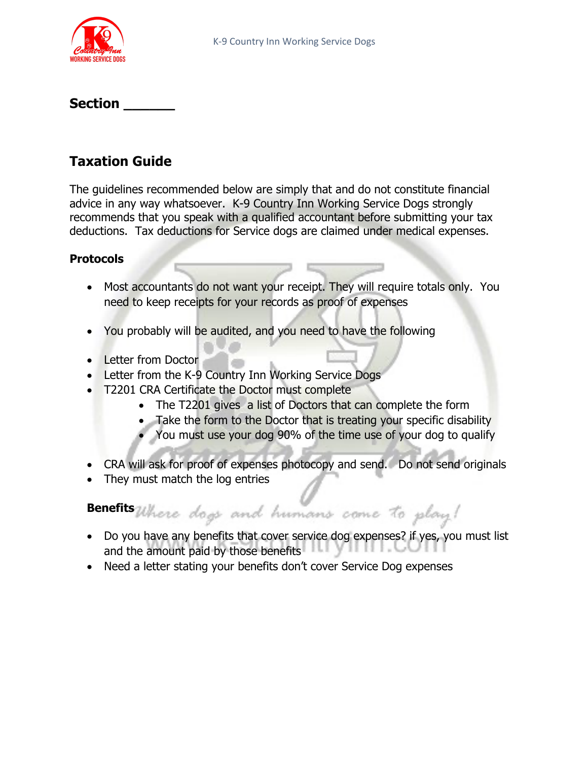

### **Section \_\_\_\_\_\_**

# **Taxation Guide**

The guidelines recommended below are simply that and do not constitute financial advice in any way whatsoever. K-9 Country Inn Working Service Dogs strongly recommends that you speak with a qualified accountant before submitting your tax deductions. Tax deductions for Service dogs are claimed under medical expenses.

#### **Protocols**

- Most accountants do not want your receipt. They will require totals only. You need to keep receipts for your records as proof of expenses
- You probably will be audited, and you need to have the following
- Letter from Doctor
- Letter from the K-9 Country Inn Working Service Dogs
- T2201 CRA Certificate the Doctor must complete
	- The T2201 gives a list of Doctors that can complete the form
	- Take the form to the Doctor that is treating your specific disability
	- You must use your dog 90% of the time use of your dog to qualify
- CRA will ask for proof of expenses photocopy and send. Do not send originals
- They must match the log entries

Benefits Where dogs and humans came to play!

- Do you have any benefits that cover service dog expenses? if yes, you must list and the amount paid by those benefits
- Need a letter stating your benefits don't cover Service Dog expenses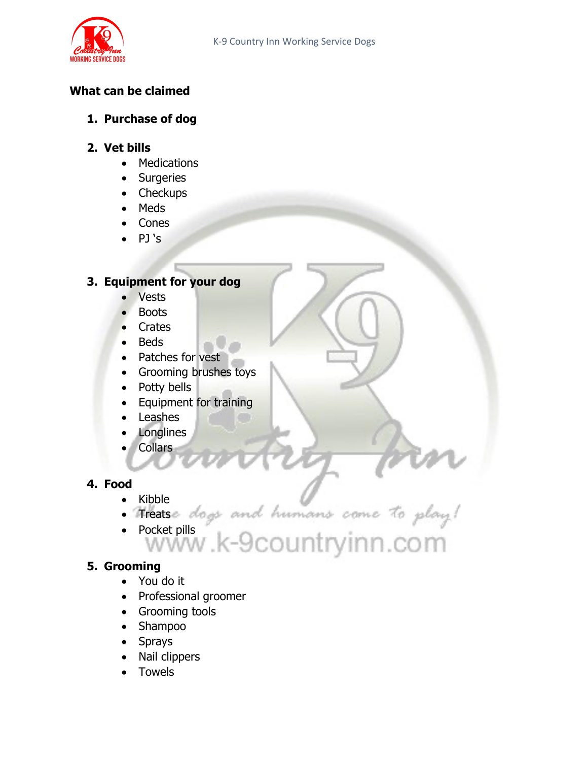

# **What can be claimed**

### **1. Purchase of dog**

#### **2. Vet bills**

- Medications
- Surgeries
- Checkups
- Meds
- Cones
- PJ 's

# **3. Equipment for your dog**

- Vests
- Boots
- Crates
- Beds
- Patches for vest
- Grooming brushes toys
- Potty bells
- Equipment for training
- Leashes
- Longlines
- Collars

# **4. Food**

- Kibble
- Treats
- Pocket pills
	-

### **5. Grooming**

- You do it
- Professional groomer
- Grooming tools
- Shampoo
- Sprays
- Nail clippers
- **Towels**